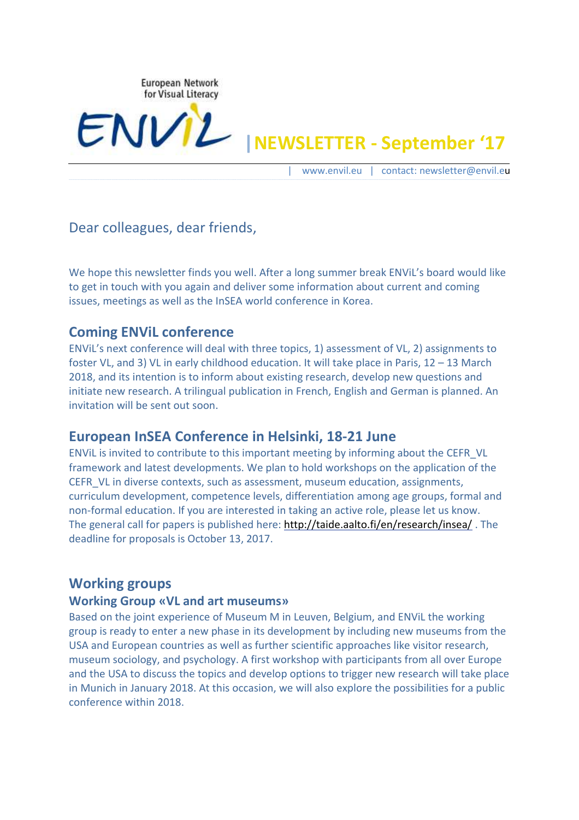

**|NEWSLETTER - September '17**

| [www.envil.eu](http://www.envil.eu/) | contact: newsletter@envil.eu

### Dear colleagues, dear friends,

ENVIL

We hope this newsletter finds you well. After a long summer break ENViL's board would like to get in touch with you again and deliver some information about current and coming issues, meetings as well as the InSEA world conference in Korea.

#### **Coming ENViL conference**

ENViL's next conference will deal with three topics, 1) assessment of VL, 2) assignments to foster VL, and 3) VL in early childhood education. It will take place in Paris, 12 – 13 March 2018, and its intention is to inform about existing research, develop new questions and initiate new research. A trilingual publication in French, English and German is planned. An invitation will be sent out soon.

### **European InSEA Conference in Helsinki, 18-21 June**

ENViL is invited to contribute to this important meeting by informing about the CEFR\_VL framework and latest developments. We plan to hold workshops on the application of the CEFR\_VL in diverse contexts, such as assessment, museum education, assignments, curriculum development, competence levels, differentiation among age groups, formal and non-formal education. If you are interested in taking an active role, please let us know. The general call for papers is published here: <http://taide.aalto.fi/en/research/insea/> . The deadline for proposals is October 13, 2017.

#### **Working groups**

#### **Working Group «VL and art museums»**

Based on the joint experience of Museum M in Leuven, Belgium, and ENViL the working group is ready to enter a new phase in its development by including new museums from the USA and European countries as well as further scientific approaches like visitor research, museum sociology, and psychology. A first workshop with participants from all over Europe and the USA to discuss the topics and develop options to trigger new research will take place in Munich in January 2018. At this occasion, we will also explore the possibilities for a public conference within 2018.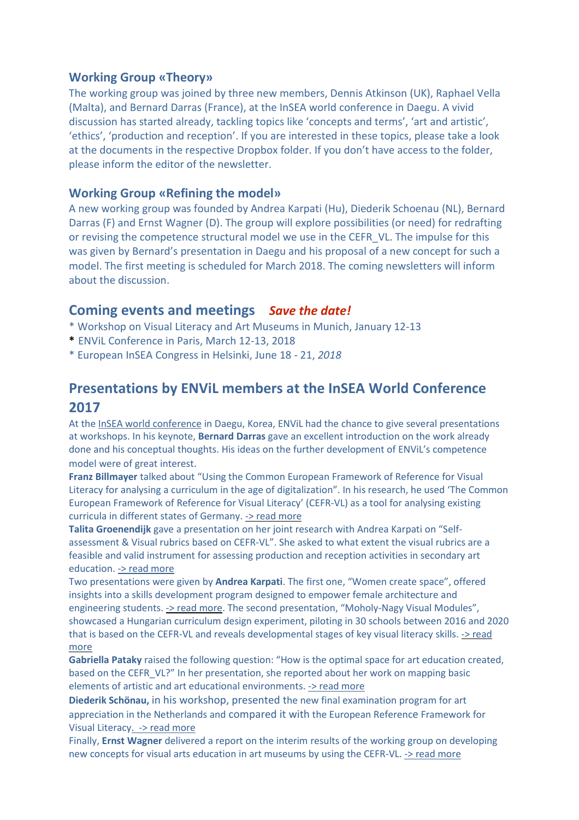#### **Working Group «Theory»**

The working group was joined by three new members, Dennis Atkinson (UK), Raphael Vella (Malta), and Bernard Darras (France), at the InSEA world conference in Daegu. A vivid discussion has started already, tackling topics like 'concepts and terms', 'art and artistic', 'ethics', 'production and reception'. If you are interested in these topics, please take a look at the documents in the respective Dropbox folder. If you don't have access to the folder, please inform the editor of the newsletter.

#### **Working Group «Refining the model»**

A new working group was founded by Andrea Karpati (Hu), Diederik Schoenau (NL), Bernard Darras (F) and Ernst Wagner (D). The group will explore possibilities (or need) for redrafting or revising the competence structural model we use in the CEFR\_VL. The impulse for this was given by Bernard's presentation in Daegu and his proposal of a new concept for such a model. The first meeting is scheduled for March 2018. The coming newsletters will inform about the discussion.

### **Coming events and meetings** *Save the date!*

- \* Workshop on Visual Literacy and Art Museums in Munich, January 12-13
- **\*** ENViL Conference in Paris, March 12-13, 2018
- \* European InSEA Congress in Helsinki, June 18 21, *2018*

# **Presentations by ENViL members at the InSEA World Conference 2017**

At the InSEA world [conference](http://insea2017.org/) in Daegu, Korea, ENViL had the chance to give several presentations at workshops. In his keynote, **Bernard Darras** gave an excellent introduction on the work already done and his conceptual thoughts. His ideas on the further development of ENViL's competence model were of great interest.

**Franz Billmayer** talked about "Using the Common European Framework of Reference for Visual Literacy for analysing a curriculum in the age of digitalization". In his research, he used 'The Common European Framework of Reference for Visual Literacy' (CEFR-VL) as a tool for analysing existing curricula in different states of Germany. -> read [more](http://envil.eu/art-curriculum-digitalization/)

**Talita Groenendijk** gave a presentation on her joint research with Andrea Karpati on "Selfassessment & Visual rubrics based on CEFR-VL". She asked to what extent the visual rubrics are a feasible and valid instrument for assessing production and reception activities in secondary art education. -> read [more](http://envil.eu/talita-groenendijk-self-assessment-visual-rubrics-based-on-cefr-vl/)

Two presentations were given by **Andrea Karpati**. The first one, "Women create space", offered insights into a skills development program designed to empower female architecture and engineering students. - > read [more.](http://envil.eu/karpati-women-create-space/) The second presentation, "Moholy-Nagy Visual Modules", showcased a Hungarian curriculum design experiment, piloting in 30 schools between 2016 and 2020 that is based on the CEFR-VL and reveals developmental stages of key visual literacy skills. - > [read](http://envil.eu/andrea-karpati-moholy-nagy-visual-modules/) [more](http://envil.eu/andrea-karpati-moholy-nagy-visual-modules/)

**Gabriella Pataky** raised the following question: "How is the optimal space for art education created, based on the CEFR\_VL?" In her presentation, she reported about her work on mapping basic elements of artistic and art educational environments. - > read [more](http://envil.eu/gabriella-pataky-how-is-the-optimal-space-for-art-education-created-based-on-the-cefr_vl/)

**Diederik Schönau,** in his workshop, presented the new final examination program for art appreciation in the Netherlands and compared it with the European Reference Framework for Visual Literacy. -> read [more](http://envil.eu/visual-literacy-and-the-experience-of-art/)

Finally, **Ernst Wagner** delivered a report on the interim results of the working group on developing new concepts for visual arts education in art museums by using the CEFR-VL. -> read [more](http://envil.eu/how-envils-common-european-framework-of-reference-for-visual-literacy-can-be-applied-to-art-museums/)